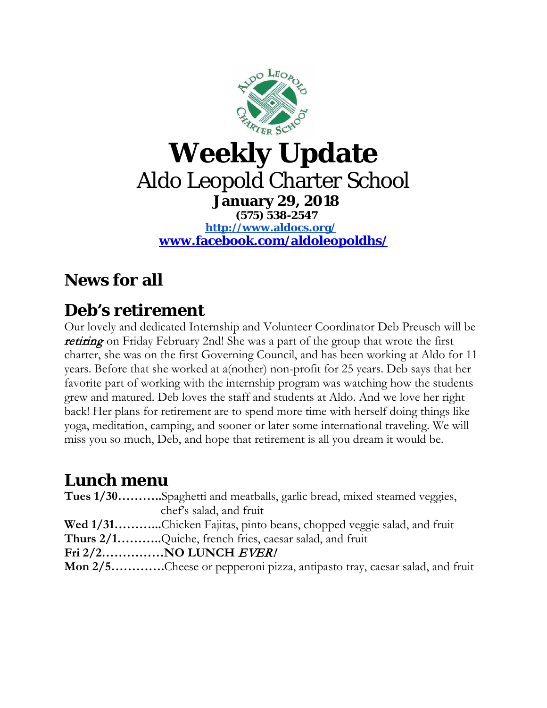

#### **Weekly Update** Aldo Leopold Charter School **January 29, 2018 (575) 538-2547 <http://www.aldocs.org/>**

**[www.facebook.com/aldoleopoldhs/](http://www.facebook.com/aldoleopoldhs/)**

## **News for all**

#### **Deb's retirement**

Our lovely and dedicated Internship and Volunteer Coordinator Deb Preusch will be **retiring** on Friday February 2nd! She was a part of the group that wrote the first charter, she was on the first Governing Council, and has been working at Aldo for 11 years. Before that she worked at a(nother) non-profit for 25 years. Deb says that her favorite part of working with the internship program was watching how the students grew and matured. Deb loves the staff and students at Aldo. And we love her right back! Her plans for retirement are to spend more time with herself doing things like yoga, meditation, camping, and sooner or later some international traveling. We will miss you so much, Deb, and hope that retirement is all you dream it would be.

### **Lunch menu**

| Tues 1/30Spaghetti and meatballs, garlic bread, mixed steamed veggies,    |
|---------------------------------------------------------------------------|
| chef's salad, and fruit                                                   |
| Wed 1/31Chicken Fajitas, pinto beans, chopped veggie salad, and fruit     |
| Thurs 2/1Quiche, french fries, caesar salad, and fruit                    |
|                                                                           |
| Mon 2/5Cheese or pepperoni pizza, antipasto tray, caesar salad, and fruit |
|                                                                           |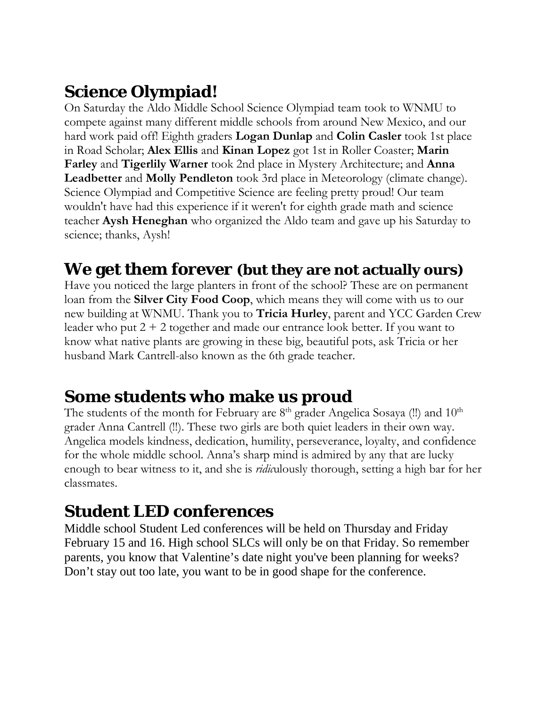# **Science Olympiad!**

On Saturday the Aldo Middle School Science Olympiad team took to WNMU to compete against many different middle schools from around New Mexico, and our hard work paid off! Eighth graders **Logan Dunlap** and **Colin Casler** took 1st place in Road Scholar; **Alex Ellis** and **Kinan Lopez** got 1st in Roller Coaster; **Marin Farley** and **Tigerlily Warner** took 2nd place in Mystery Architecture; and **Anna Leadbetter** and **Molly Pendleton** took 3rd place in Meteorology (climate change). Science Olympiad and Competitive Science are feeling pretty proud! Our team wouldn't have had this experience if it weren't for eighth grade math and science teacher **Aysh Heneghan** who organized the Aldo team and gave up his Saturday to science; thanks, Aysh!

### **We get them forever (but they are not actually ours)**

Have you noticed the large planters in front of the school? These are on permanent loan from the **Silver City Food Coop**, which means they will come with us to our new building at WNMU. Thank you to **Tricia Hurley**, parent and YCC Garden Crew leader who put 2 + 2 together and made our entrance look better. If you want to know what native plants are growing in these big, beautiful pots, ask Tricia or her husband Mark Cantrell-also known as the 6th grade teacher.

#### **Some students who make us proud**

The students of the month for February are  $8<sup>th</sup>$  grader Angelica Sosaya (!!) and  $10<sup>th</sup>$ grader Anna Cantrell (!!). These two girls are both quiet leaders in their own way. Angelica models kindness, dedication, humility, perseverance, loyalty, and confidence for the whole middle school. Anna's sharp mind is admired by any that are lucky enough to bear witness to it, and she is *ridic*ulously thorough, setting a high bar for her classmates.

### **Student LED conferences**

Middle school Student Led conferences will be held on Thursday and Friday February 15 and 16. High school SLCs will only be on that Friday. So remember parents, you know that Valentine's date night you've been planning for weeks? Don't stay out too late, you want to be in good shape for the conference.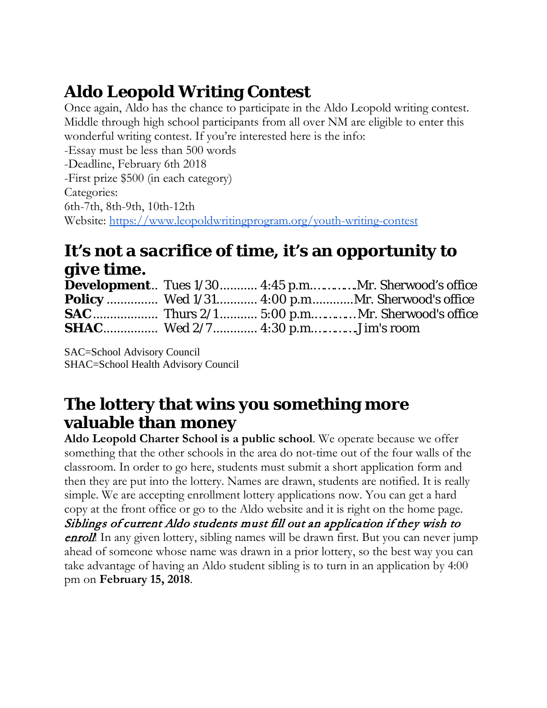# **Aldo Leopold Writing Contest**

Once again, Aldo has the chance to participate in the Aldo Leopold writing contest. Middle through high school participants from all over NM are eligible to enter this wonderful writing contest. If you're interested here is the info:

-Essay must be less than 500 words -Deadline, February 6th 2018 -First prize \$500 (in each category) Categories: 6th-7th, 8th-9th, 10th-12th Website:<https://www.leopoldwritingprogram.org/youth-writing-contest>

## **It's not a** *sacrifice* **of time, it's an opportunity to**  *give* **time.**

|                                        |  | <b>Development</b> Tues 1/30 4:45 p.mMr. Sherwood's office |
|----------------------------------------|--|------------------------------------------------------------|
|                                        |  | <b>Policy</b> Wed 1/31 4:00 p.mMr. Sherwood's office       |
|                                        |  |                                                            |
| <b>SHAC</b> Wed 2/7 4:30 p.mJim's room |  |                                                            |

SAC=School Advisory Council SHAC=School Health Advisory Council

### **The lottery that wins you something more valuable than money**

**Aldo Leopold Charter School is a public school**. We operate because we offer something that the other schools in the area do not-time out of the four walls of the classroom. In order to go here, students must submit a short application form and then they are put into the lottery. Names are drawn, students are notified. It is really simple. We are accepting enrollment lottery applications now. You can get a hard copy at the front office or go to the Aldo website and it is right on the home page. Siblings of current Aldo students must fill out an application if they wish to **enroll!** In any given lottery, sibling names will be drawn first. But you can never jump ahead of someone whose name was drawn in a prior lottery, so the best way you can take advantage of having an Aldo student sibling is to turn in an application by 4:00 pm on **February 15, 2018**.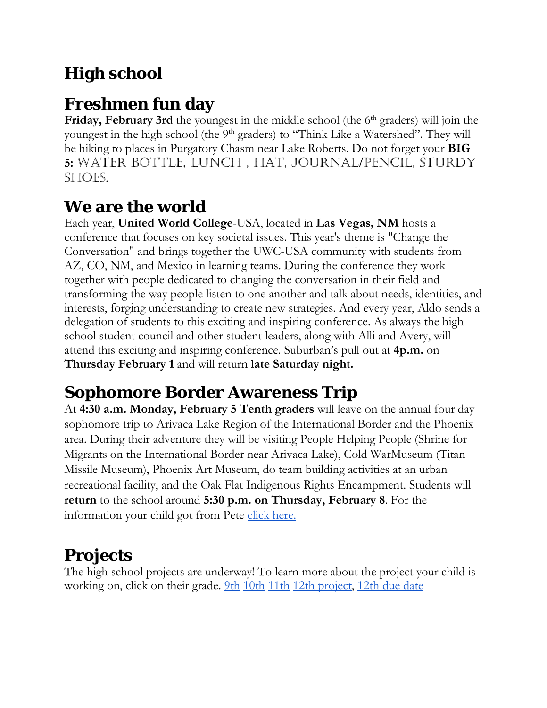# **High school**

## **Freshmen fun day**

**Friday, February 3rd** the youngest in the middle school (the 6<sup>th</sup> graders) will join the youngest in the high school (the 9<sup>th</sup> graders) to "Think Like a Watershed". They will be hiking to places in Purgatory Chasm near Lake Roberts. Do not forget your **BIG 5:** water bottle, lunch , hat, journal/pencil, sturdy shoes.

### **We are the world**

Each year, **United World College**-USA, located in **Las Vegas, NM** hosts a conference that focuses on key societal issues. This year's theme is "Change the Conversation" and brings together the UWC-USA community with students from AZ, CO, NM, and Mexico in learning teams. During the conference they work together with people dedicated to changing the conversation in their field and transforming the way people listen to one another and talk about needs, identities, and interests, forging understanding to create new strategies. And every year, Aldo sends a delegation of students to this exciting and inspiring conference. As always the high school student council and other student leaders, along with Alli and Avery, will attend this exciting and inspiring conference. Suburban's pull out at **4p.m.** on **Thursday February 1** and will return **late Saturday night.**

## **Sophomore Border Awareness Trip**

At **4:30 a.m. Monday, February 5 Tenth graders** will leave on the annual four day sophomore trip to Arivaca Lake Region of the International Border and the Phoenix area. During their adventure they will be visiting People Helping People (Shrine for Migrants on the International Border near Arivaca Lake), Cold WarMuseum (Titan Missile Museum), Phoenix Art Museum, do team building activities at an urban recreational facility, and the Oak Flat Indigenous Rights Encampment. Students will **return** to the school around **5:30 p.m. on Thursday, February 8**. For the information your child got from Pete [click here.](http://www.aldocs.org/highschool/LetterHome10thTripFeb2018.pdf)

### **Projects**

The high school projects are underway! To learn more about the project your child is working on, click on their grade. <u>9th [10th](http://www.aldocs.org/highschool/10thGrProj.pdf) [11th](http://www.aldocs.org/highschool/Quarter3ProjectPaper.pdf) 12th project</u>, [12th due date](http://www.aldocs.org/highschool/SeniorProjectDueDates2018.pdf)